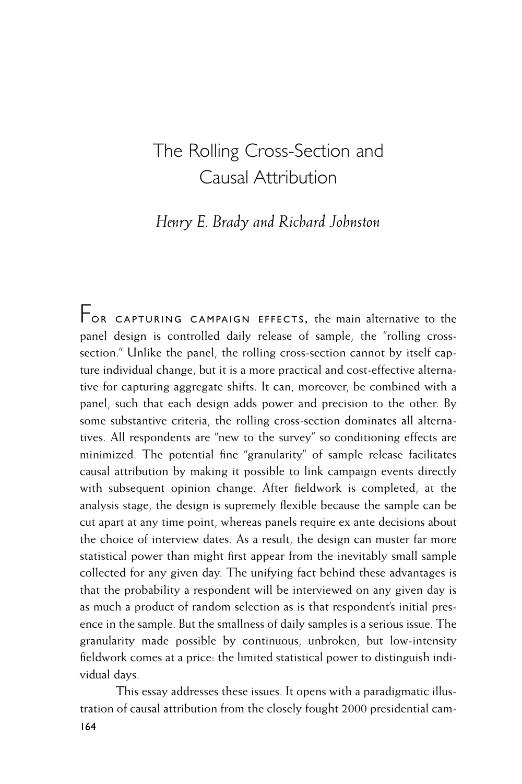# The Rolling Cross-Section and Causal Attribution

## *Henry E. Brady and Richard Johnston*

FOR CAPTURING CAMPAIGN EFFECTS , the main alternative to the panel design is controlled daily release of sample, the "rolling crosssection." Unlike the panel, the rolling cross-section cannot by itself capture individual change, but it is a more practical and cost-effective alternative for capturing aggregate shifts. It can, moreover, be combined with a panel, such that each design adds power and precision to the other. By some substantive criteria, the rolling cross-section dominates all alternatives. All respondents are "new to the survey" so conditioning effects are minimized. The potential fine "granularity" of sample release facilitates causal attribution by making it possible to link campaign events directly with subsequent opinion change. After fieldwork is completed, at the analysis stage, the design is supremely flexible because the sample can be cut apart at any time point, whereas panels require ex ante decisions about the choice of interview dates. As a result, the design can muster far more statistical power than might first appear from the inevitably small sample collected for any given day. The unifying fact behind these advantages is that the probability a respondent will be interviewed on any given day is as much a product of random selection as is that respondent's initial presence in the sample. But the smallness of daily samples is a serious issue. The granularity made possible by continuous, unbroken, but low-intensity fieldwork comes at a price: the limited statistical power to distinguish individual days.

This essay addresses these issues. It opens with a paradigmatic illustration of causal attribution from the closely fought 2000 presidential cam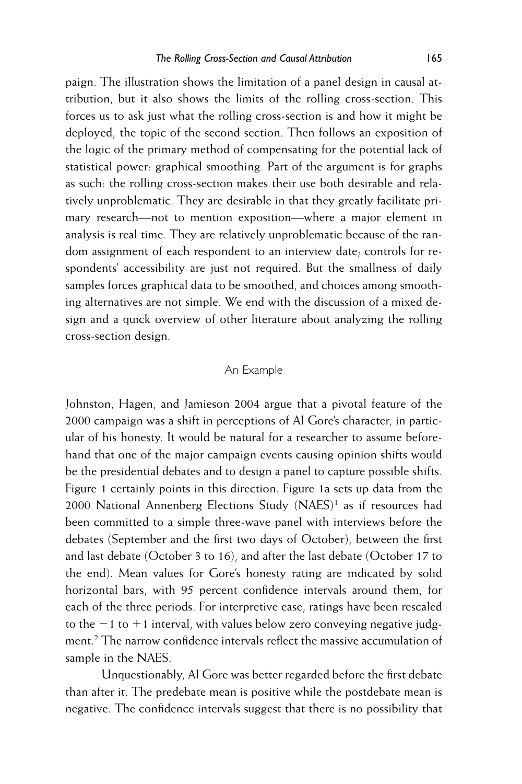paign. The illustration shows the limitation of a panel design in causal attribution, but it also shows the limits of the rolling cross-section. This forces us to ask just what the rolling cross-section is and how it might be deployed, the topic of the second section. Then follows an exposition of the logic of the primary method of compensating for the potential lack of statistical power: graphical smoothing. Part of the argument is for graphs as such: the rolling cross-section makes their use both desirable and relatively unproblematic. They are desirable in that they greatly facilitate primary research—not to mention exposition—where a major element in analysis is real time. They are relatively unproblematic because of the random assignment of each respondent to an interview date; controls for respondents' accessibility are just not required. But the smallness of daily samples forces graphical data to be smoothed, and choices among smoothing alternatives are not simple. We end with the discussion of a mixed design and a quick overview of other literature about analyzing the rolling cross-section design.

## An Example

Johnston, Hagen, and Jamieson 2004 argue that a pivotal feature of the 2000 campaign was a shift in perceptions of Al Gore's character, in particular of his honesty. It would be natural for a researcher to assume beforehand that one of the major campaign events causing opinion shifts would be the presidential debates and to design a panel to capture possible shifts. Figure 1 certainly points in this direction. Figure 1a sets up data from the 2000 National Annenberg Elections Study (NAES)<sup>1</sup> as if resources had been committed to a simple three-wave panel with interviews before the debates (September and the first two days of October), between the first and last debate (October 3 to 16), and after the last debate (October 17 to the end). Mean values for Gore's honesty rating are indicated by solid horizontal bars, with 95 percent confidence intervals around them, for each of the three periods. For interpretive ease, ratings have been rescaled to the  $-1$  to  $+1$  interval, with values below zero conveying negative judgment.<sup>2</sup> The narrow confidence intervals reflect the massive accumulation of sample in the NAES.

Unquestionably, Al Gore was better regarded before the first debate than after it. The predebate mean is positive while the postdebate mean is negative. The confidence intervals suggest that there is no possibility that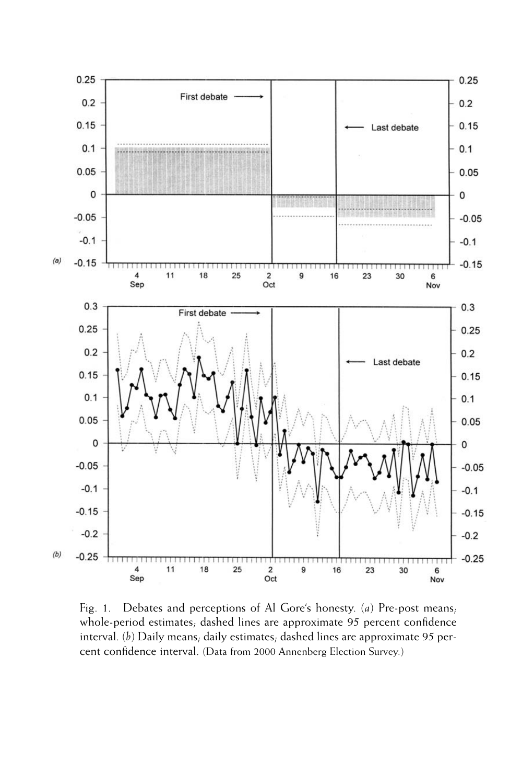

Fig. 1. Debates and perceptions of Al Gore's honesty. (*a*) Pre-post means; whole-period estimates; dashed lines are approximate 95 percent confidence interval. (*b*) Daily means; daily estimates; dashed lines are approximate 95 percent confidence interval. (Data from 2000 Annenberg Election Survey.)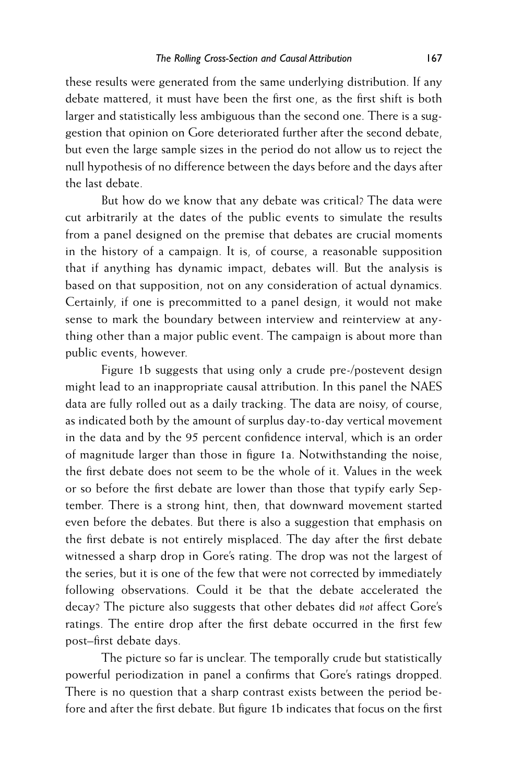these results were generated from the same underlying distribution. If any debate mattered, it must have been the first one, as the first shift is both larger and statistically less ambiguous than the second one. There is a suggestion that opinion on Gore deteriorated further after the second debate, but even the large sample sizes in the period do not allow us to reject the null hypothesis of no difference between the days before and the days after the last debate.

But how do we know that any debate was critical? The data were cut arbitrarily at the dates of the public events to simulate the results from a panel designed on the premise that debates are crucial moments in the history of a campaign. It is, of course, a reasonable supposition that if anything has dynamic impact, debates will. But the analysis is based on that supposition, not on any consideration of actual dynamics. Certainly, if one is precommitted to a panel design, it would not make sense to mark the boundary between interview and reinterview at anything other than a major public event. The campaign is about more than public events, however.

Figure 1b suggests that using only a crude pre-/postevent design might lead to an inappropriate causal attribution. In this panel the NAES data are fully rolled out as a daily tracking. The data are noisy, of course, as indicated both by the amount of surplus day-to-day vertical movement in the data and by the 95 percent confidence interval, which is an order of magnitude larger than those in figure 1a. Notwithstanding the noise, the first debate does not seem to be the whole of it. Values in the week or so before the first debate are lower than those that typify early September. There is a strong hint, then, that downward movement started even before the debates. But there is also a suggestion that emphasis on the first debate is not entirely misplaced. The day after the first debate witnessed a sharp drop in Gore's rating. The drop was not the largest of the series, but it is one of the few that were not corrected by immediately following observations. Could it be that the debate accelerated the decay? The picture also suggests that other debates did *not* affect Gore's ratings. The entire drop after the first debate occurred in the first few post–first debate days.

The picture so far is unclear. The temporally crude but statistically powerful periodization in panel a confirms that Gore's ratings dropped. There is no question that a sharp contrast exists between the period before and after the first debate. But figure 1b indicates that focus on the first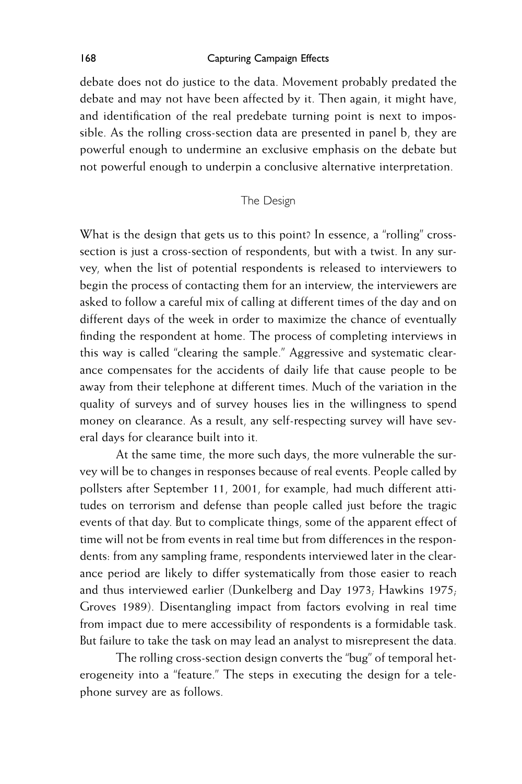#### 168 Capturing Campaign Effects

debate does not do justice to the data. Movement probably predated the debate and may not have been affected by it. Then again, it might have, and identification of the real predebate turning point is next to impossible. As the rolling cross-section data are presented in panel b, they are powerful enough to undermine an exclusive emphasis on the debate but not powerful enough to underpin a conclusive alternative interpretation.

## The Design

What is the design that gets us to this point? In essence, a "rolling" crosssection is just a cross-section of respondents, but with a twist. In any survey, when the list of potential respondents is released to interviewers to begin the process of contacting them for an interview, the interviewers are asked to follow a careful mix of calling at different times of the day and on different days of the week in order to maximize the chance of eventually finding the respondent at home. The process of completing interviews in this way is called "clearing the sample." Aggressive and systematic clearance compensates for the accidents of daily life that cause people to be away from their telephone at different times. Much of the variation in the quality of surveys and of survey houses lies in the willingness to spend money on clearance. As a result, any self-respecting survey will have several days for clearance built into it.

At the same time, the more such days, the more vulnerable the survey will be to changes in responses because of real events. People called by pollsters after September 11, 2001, for example, had much different attitudes on terrorism and defense than people called just before the tragic events of that day. But to complicate things, some of the apparent effect of time will not be from events in real time but from differences in the respondents: from any sampling frame, respondents interviewed later in the clearance period are likely to differ systematically from those easier to reach and thus interviewed earlier (Dunkelberg and Day 1973; Hawkins 1975; Groves 1989). Disentangling impact from factors evolving in real time from impact due to mere accessibility of respondents is a formidable task. But failure to take the task on may lead an analyst to misrepresent the data.

The rolling cross-section design converts the "bug" of temporal heterogeneity into a "feature." The steps in executing the design for a telephone survey are as follows.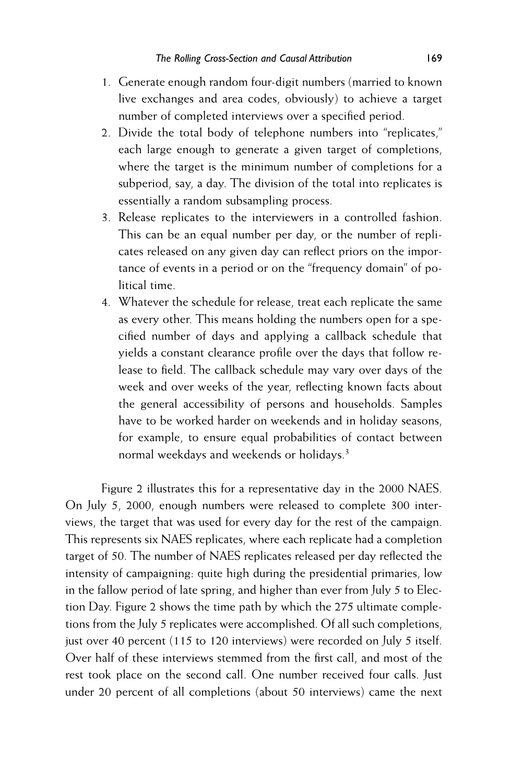- 1. Generate enough random four-digit numbers (married to known live exchanges and area codes, obviously) to achieve a target number of completed interviews over a specified period.
- 2. Divide the total body of telephone numbers into "replicates," each large enough to generate a given target of completions, where the target is the minimum number of completions for a subperiod, say, a day. The division of the total into replicates is essentially a random subsampling process.
- 3. Release replicates to the interviewers in a controlled fashion. This can be an equal number per day, or the number of replicates released on any given day can reflect priors on the importance of events in a period or on the "frequency domain" of political time.
- 4. Whatever the schedule for release, treat each replicate the same as every other. This means holding the numbers open for a specified number of days and applying a callback schedule that yields a constant clearance profile over the days that follow release to field. The callback schedule may vary over days of the week and over weeks of the year, reflecting known facts about the general accessibility of persons and households. Samples have to be worked harder on weekends and in holiday seasons, for example, to ensure equal probabilities of contact between normal weekdays and weekends or holidays.<sup>3</sup>

Figure 2 illustrates this for a representative day in the 2000 NAES. On July 5, 2000, enough numbers were released to complete 300 interviews, the target that was used for every day for the rest of the campaign. This represents six NAES replicates, where each replicate had a completion target of 50. The number of NAES replicates released per day reflected the intensity of campaigning: quite high during the presidential primaries, low in the fallow period of late spring, and higher than ever from July 5 to Election Day. Figure 2 shows the time path by which the 275 ultimate completions from the July 5 replicates were accomplished. Of all such completions, just over 40 percent (115 to 120 interviews) were recorded on July 5 itself. Over half of these interviews stemmed from the first call, and most of the rest took place on the second call. One number received four calls. Just under 20 percent of all completions (about 50 interviews) came the next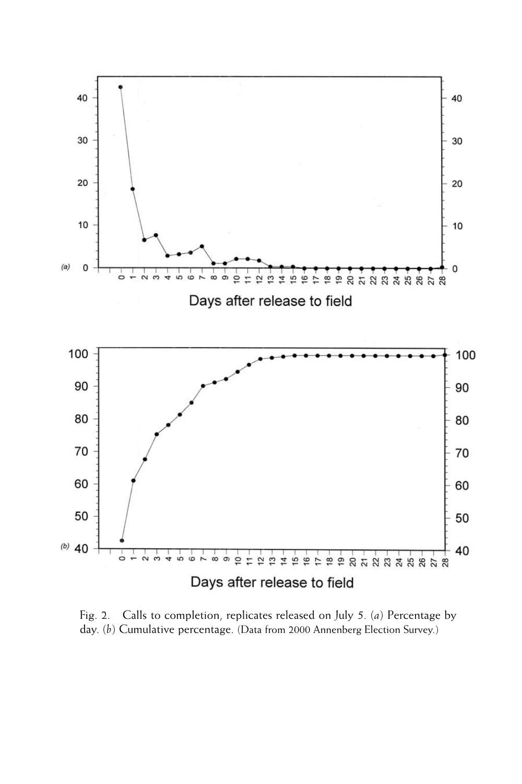

Fig. 2. Calls to completion, replicates released on July 5. (*a*) Percentage by day. (*b*) Cumulative percentage. (Data from 2000 Annenberg Election Survey.)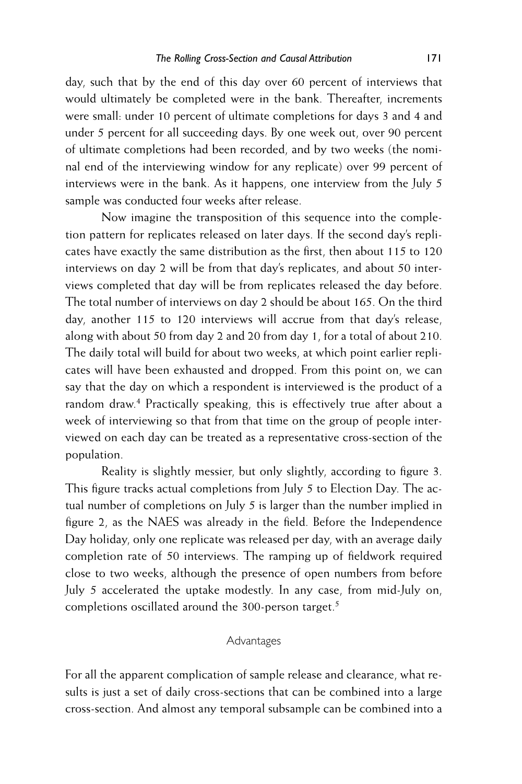day, such that by the end of this day over 60 percent of interviews that would ultimately be completed were in the bank. Thereafter, increments were small: under 10 percent of ultimate completions for days 3 and 4 and under 5 percent for all succeeding days. By one week out, over 90 percent of ultimate completions had been recorded, and by two weeks (the nominal end of the interviewing window for any replicate) over 99 percent of interviews were in the bank. As it happens, one interview from the July 5 sample was conducted four weeks after release.

Now imagine the transposition of this sequence into the completion pattern for replicates released on later days. If the second day's replicates have exactly the same distribution as the first, then about 115 to 120 interviews on day 2 will be from that day's replicates, and about 50 interviews completed that day will be from replicates released the day before. The total number of interviews on day 2 should be about 165. On the third day, another 115 to 120 interviews will accrue from that day's release, along with about 50 from day 2 and 20 from day 1, for a total of about 210. The daily total will build for about two weeks, at which point earlier replicates will have been exhausted and dropped. From this point on, we can say that the day on which a respondent is interviewed is the product of a random draw.<sup>4</sup> Practically speaking, this is effectively true after about a week of interviewing so that from that time on the group of people interviewed on each day can be treated as a representative cross-section of the population.

Reality is slightly messier, but only slightly, according to figure 3. This figure tracks actual completions from July 5 to Election Day. The actual number of completions on July 5 is larger than the number implied in figure 2, as the NAES was already in the field. Before the Independence Day holiday, only one replicate was released per day, with an average daily completion rate of 50 interviews. The ramping up of fieldwork required close to two weeks, although the presence of open numbers from before July 5 accelerated the uptake modestly. In any case, from mid-July on, completions oscillated around the 300-person target.<sup>5</sup>

#### Advantages

For all the apparent complication of sample release and clearance, what results is just a set of daily cross-sections that can be combined into a large cross-section. And almost any temporal subsample can be combined into a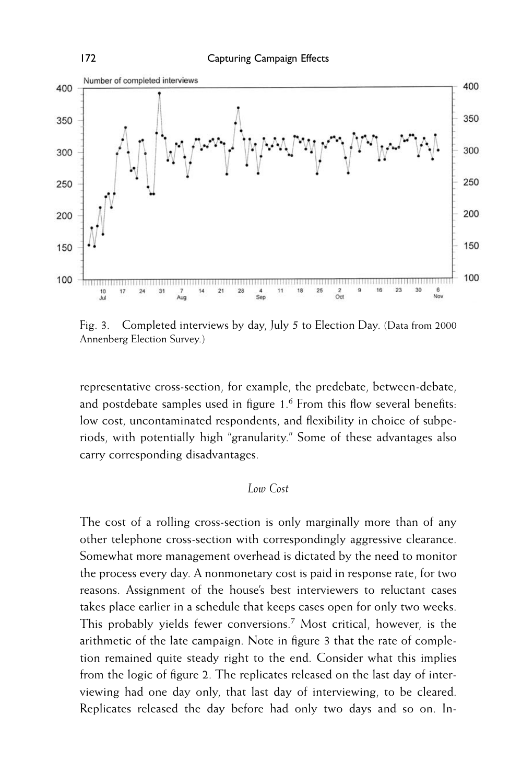

Fig. 3. Completed interviews by day, July 5 to Election Day. (Data from 2000 Annenberg Election Survey.)

representative cross-section, for example, the predebate, between-debate, and postdebate samples used in figure  $1<sup>6</sup>$  From this flow several benefits: low cost, uncontaminated respondents, and flexibility in choice of subperiods, with potentially high "granularity." Some of these advantages also carry corresponding disadvantages.

## *Low Cost*

The cost of a rolling cross-section is only marginally more than of any other telephone cross-section with correspondingly aggressive clearance. Somewhat more management overhead is dictated by the need to monitor the process every day. A nonmonetary cost is paid in response rate, for two reasons. Assignment of the house's best interviewers to reluctant cases takes place earlier in a schedule that keeps cases open for only two weeks. This probably yields fewer conversions.7 Most critical, however, is the arithmetic of the late campaign. Note in figure 3 that the rate of completion remained quite steady right to the end. Consider what this implies from the logic of figure 2. The replicates released on the last day of interviewing had one day only, that last day of interviewing, to be cleared. Replicates released the day before had only two days and so on. In-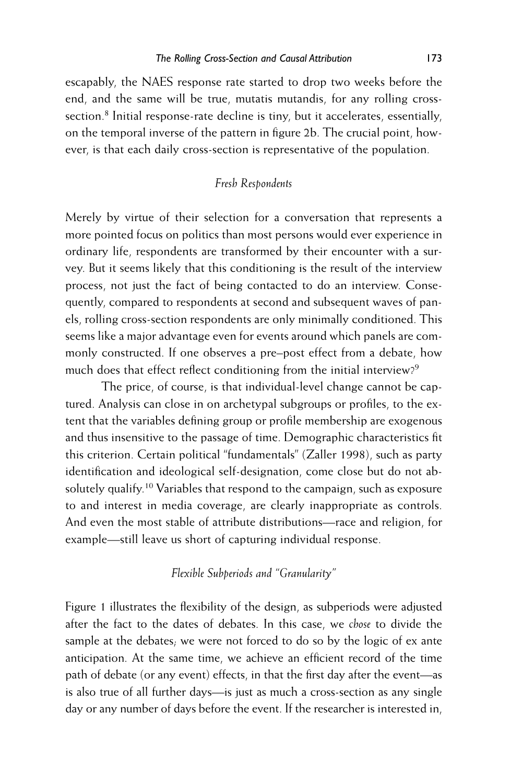#### *The Rolling Cross-Section and Causal Attribution* 173

escapably, the NAES response rate started to drop two weeks before the end, and the same will be true, mutatis mutandis, for any rolling crosssection.<sup>8</sup> Initial response-rate decline is tiny, but it accelerates, essentially, on the temporal inverse of the pattern in figure 2b. The crucial point, however, is that each daily cross-section is representative of the population.

## *Fresh Respondents*

Merely by virtue of their selection for a conversation that represents a more pointed focus on politics than most persons would ever experience in ordinary life, respondents are transformed by their encounter with a survey. But it seems likely that this conditioning is the result of the interview process, not just the fact of being contacted to do an interview. Consequently, compared to respondents at second and subsequent waves of panels, rolling cross-section respondents are only minimally conditioned. This seems like a major advantage even for events around which panels are commonly constructed. If one observes a pre–post effect from a debate, how much does that effect reflect conditioning from the initial interview?<sup>9</sup>

The price, of course, is that individual-level change cannot be captured. Analysis can close in on archetypal subgroups or profiles, to the extent that the variables defining group or profile membership are exogenous and thus insensitive to the passage of time. Demographic characteristics fit this criterion. Certain political "fundamentals" (Zaller 1998), such as party identification and ideological self-designation, come close but do not absolutely qualify.<sup>10</sup> Variables that respond to the campaign, such as exposure to and interest in media coverage, are clearly inappropriate as controls. And even the most stable of attribute distributions—race and religion, for example—still leave us short of capturing individual response.

## *Flexible Subperiods and "Granularity"*

Figure 1 illustrates the flexibility of the design, as subperiods were adjusted after the fact to the dates of debates. In this case, we *chose* to divide the sample at the debates; we were not forced to do so by the logic of ex ante anticipation. At the same time, we achieve an efficient record of the time path of debate (or any event) effects, in that the first day after the event—as is also true of all further days—is just as much a cross-section as any single day or any number of days before the event. If the researcher is interested in,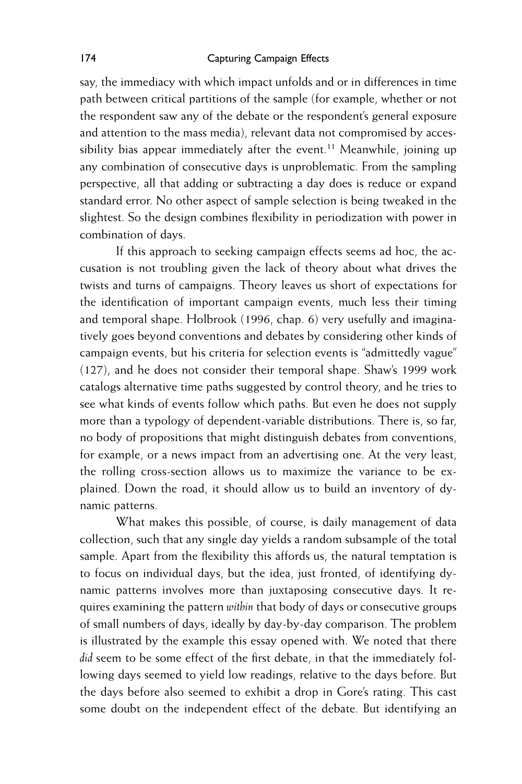#### 174 Capturing Campaign Effects

say, the immediacy with which impact unfolds and or in differences in time path between critical partitions of the sample (for example, whether or not the respondent saw any of the debate or the respondent's general exposure and attention to the mass media), relevant data not compromised by accessibility bias appear immediately after the event.<sup>11</sup> Meanwhile, joining up any combination of consecutive days is unproblematic. From the sampling perspective, all that adding or subtracting a day does is reduce or expand standard error. No other aspect of sample selection is being tweaked in the slightest. So the design combines flexibility in periodization with power in combination of days.

If this approach to seeking campaign effects seems ad hoc, the accusation is not troubling given the lack of theory about what drives the twists and turns of campaigns. Theory leaves us short of expectations for the identification of important campaign events, much less their timing and temporal shape. Holbrook (1996, chap. 6) very usefully and imaginatively goes beyond conventions and debates by considering other kinds of campaign events, but his criteria for selection events is "admittedly vague" (127), and he does not consider their temporal shape. Shaw's 1999 work catalogs alternative time paths suggested by control theory, and he tries to see what kinds of events follow which paths. But even he does not supply more than a typology of dependent-variable distributions. There is, so far, no body of propositions that might distinguish debates from conventions, for example, or a news impact from an advertising one. At the very least, the rolling cross-section allows us to maximize the variance to be explained. Down the road, it should allow us to build an inventory of dynamic patterns.

What makes this possible, of course, is daily management of data collection, such that any single day yields a random subsample of the total sample. Apart from the flexibility this affords us, the natural temptation is to focus on individual days, but the idea, just fronted, of identifying dynamic patterns involves more than juxtaposing consecutive days. It requires examining the pattern *within* that body of days or consecutive groups of small numbers of days, ideally by day-by-day comparison. The problem is illustrated by the example this essay opened with. We noted that there *did* seem to be some effect of the first debate, in that the immediately following days seemed to yield low readings, relative to the days before. But the days before also seemed to exhibit a drop in Gore's rating. This cast some doubt on the independent effect of the debate. But identifying an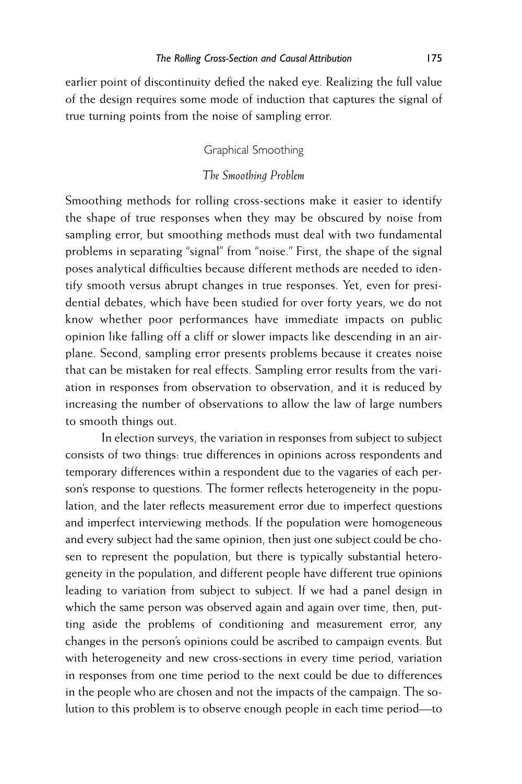earlier point of discontinuity defied the naked eye. Realizing the full value of the design requires some mode of induction that captures the signal of true turning points from the noise of sampling error.

## Graphical Smoothing

## *The Smoothing Problem*

Smoothing methods for rolling cross-sections make it easier to identify the shape of true responses when they may be obscured by noise from sampling error, but smoothing methods must deal with two fundamental problems in separating "signal" from "noise." First, the shape of the signal poses analytical difficulties because different methods are needed to identify smooth versus abrupt changes in true responses. Yet, even for presidential debates, which have been studied for over forty years, we do not know whether poor performances have immediate impacts on public opinion like falling off a cliff or slower impacts like descending in an airplane. Second, sampling error presents problems because it creates noise that can be mistaken for real effects. Sampling error results from the variation in responses from observation to observation, and it is reduced by increasing the number of observations to allow the law of large numbers to smooth things out.

In election surveys, the variation in responses from subject to subject consists of two things: true differences in opinions across respondents and temporary differences within a respondent due to the vagaries of each person's response to questions. The former reflects heterogeneity in the population, and the later reflects measurement error due to imperfect questions and imperfect interviewing methods. If the population were homogeneous and every subject had the same opinion, then just one subject could be chosen to represent the population, but there is typically substantial heterogeneity in the population, and different people have different true opinions leading to variation from subject to subject. If we had a panel design in which the same person was observed again and again over time, then, putting aside the problems of conditioning and measurement error, any changes in the person's opinions could be ascribed to campaign events. But with heterogeneity and new cross-sections in every time period, variation in responses from one time period to the next could be due to differences in the people who are chosen and not the impacts of the campaign. The solution to this problem is to observe enough people in each time period—to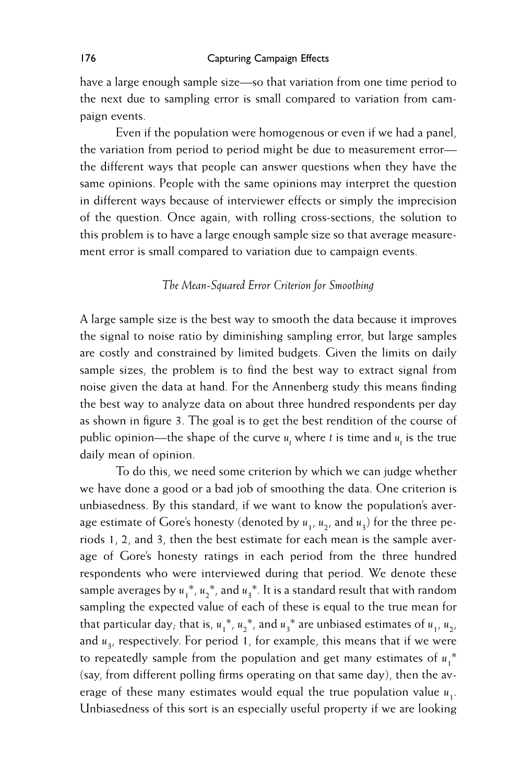have a large enough sample size—so that variation from one time period to the next due to sampling error is small compared to variation from campaign events.

Even if the population were homogenous or even if we had a panel, the variation from period to period might be due to measurement error the different ways that people can answer questions when they have the same opinions. People with the same opinions may interpret the question in different ways because of interviewer effects or simply the imprecision of the question. Once again, with rolling cross-sections, the solution to this problem is to have a large enough sample size so that average measurement error is small compared to variation due to campaign events.

## *The Mean-Squared Error Criterion for Smoothing*

A large sample size is the best way to smooth the data because it improves the signal to noise ratio by diminishing sampling error, but large samples are costly and constrained by limited budgets. Given the limits on daily sample sizes, the problem is to find the best way to extract signal from noise given the data at hand. For the Annenberg study this means finding the best way to analyze data on about three hundred respondents per day as shown in figure 3. The goal is to get the best rendition of the course of public opinion—the shape of the curve  $u_t$ , where *t* is time and  $u_t$  is the true daily mean of opinion.

To do this, we need some criterion by which we can judge whether we have done a good or a bad job of smoothing the data. One criterion is unbiasedness. By this standard, if we want to know the population's average estimate of Gore's honesty (denoted by  $u_1$ ,  $u_2$ , and  $u_3$ ) for the three periods 1, 2, and 3, then the best estimate for each mean is the sample average of Gore's honesty ratings in each period from the three hundred respondents who were interviewed during that period. We denote these sample averages by  $u_1^*, u_2^*$ , and  $u_3^*$ . It is a standard result that with random sampling the expected value of each of these is equal to the true mean for that particular day; that is,  $u_1^*$ ,  $u_2^*$ , and  $u_3^*$  are unbiased estimates of  $u_1$ ,  $u_2$ , and  $u_{3}$ , respectively. For period 1, for example, this means that if we were to repeatedly sample from the population and get many estimates of  $u_1^*$ (say, from different polling firms operating on that same day), then the average of these many estimates would equal the true population value  $u_i$ . Unbiasedness of this sort is an especially useful property if we are looking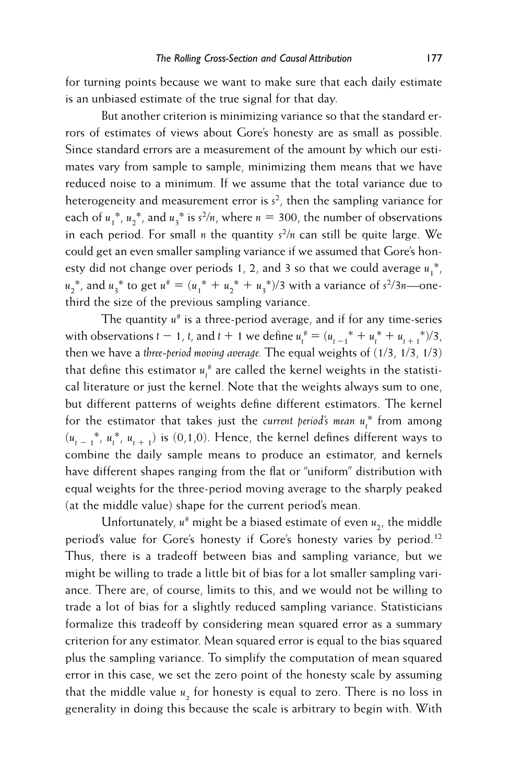for turning points because we want to make sure that each daily estimate is an unbiased estimate of the true signal for that day.

But another criterion is minimizing variance so that the standard errors of estimates of views about Gore's honesty are as small as possible. Since standard errors are a measurement of the amount by which our estimates vary from sample to sample, minimizing them means that we have reduced noise to a minimum. If we assume that the total variance due to heterogeneity and measurement error is *s* 2, then the sampling variance for each of  $u_1^*$ ,  $u_2^*$ , and  $u_3^*$  is  $s^2/n$ , where  $n = 300$ , the number of observations in each period. For small *n* the quantity *s* <sup>2</sup>*/n* can still be quite large. We could get an even smaller sampling variance if we assumed that Gore's honesty did not change over periods 1, 2, and 3 so that we could average  $u_1^*$ ,  $u_2^*$ , and  $u_3^*$  to get  $u^* = (u_1^* + u_2^* + u_3^*)/3$  with a variance of  $s^2/3n$ —onethird the size of the previous sampling variance.

The quantity  $u^*$  is a three-period average, and if for any time-series with observations  $t = 1$ ,  $t$ , and  $t + 1$  we define  $u_t^* = (u_{t-1}^* + u_t^* + u_{t+1}^*)/3$ , then we have a *three-period moving average.* The equal weights of (1/3, 1/3, 1/3) that define this estimator  $u_t^*$  are called the kernel weights in the statistical literature or just the kernel. Note that the weights always sum to one, but different patterns of weights define different estimators. The kernel for the estimator that takes just the *current period's mean*  $u_t^*$  from among  $(u_{t-1}^*, u_{t}^*, u_{t+1})$  is  $(0,1,0)$ . Hence, the kernel defines different ways to combine the daily sample means to produce an estimator, and kernels have different shapes ranging from the flat or "uniform" distribution with equal weights for the three-period moving average to the sharply peaked (at the middle value) shape for the current period's mean.

Unfortunately,  $u^*$  might be a biased estimate of even  $u_2$ , the middle period's value for Gore's honesty if Gore's honesty varies by period.12 Thus, there is a tradeoff between bias and sampling variance, but we might be willing to trade a little bit of bias for a lot smaller sampling variance. There are, of course, limits to this, and we would not be willing to trade a lot of bias for a slightly reduced sampling variance. Statisticians formalize this tradeoff by considering mean squared error as a summary criterion for any estimator. Mean squared error is equal to the bias squared plus the sampling variance. To simplify the computation of mean squared error in this case, we set the zero point of the honesty scale by assuming that the middle value *u<sub>2</sub>* for honesty is equal to zero. There is no loss in generality in doing this because the scale is arbitrary to begin with. With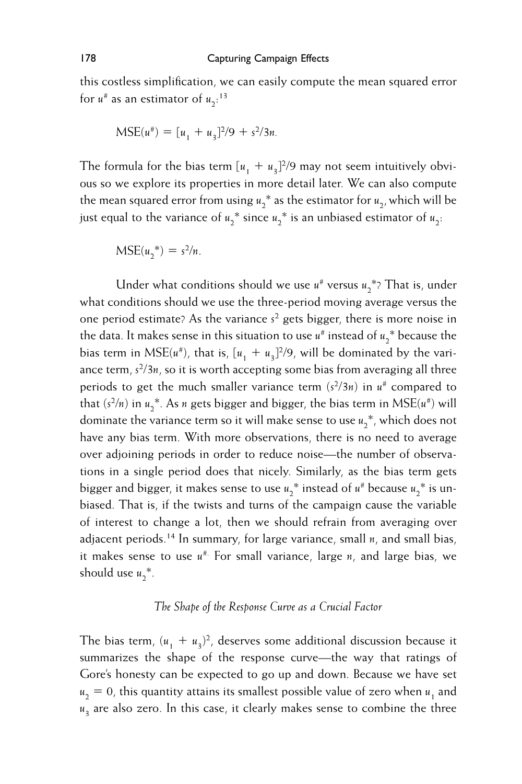this costless simplification, we can easily compute the mean squared error for  $u^*$  as an estimator of  $u_2$ :<sup>13</sup>

$$
MSE(u^*) = [u_1 + u_3]^2/9 + s^2/3n.
$$

The formula for the bias term  $[u_1 + u_2]^2/9$  may not seem intuitively obvious so we explore its properties in more detail later. We can also compute the mean squared error from using  $u_2^*$  as the estimator for  $u_2$ , which will be just equal to the variance of  $u_2^*$  since  $u_2^*$  is an unbiased estimator of  $u_2$ .

$$
MSE(u_2^*) = s^2/n.
$$

Under what conditions should we use  $u^*$  versus  $u^*$ ? That is, under what conditions should we use the three-period moving average versus the one period estimate? As the variance *s* <sup>2</sup> gets bigger, there is more noise in the data. It makes sense in this situation to use  $u^*$  instead of  $u^*$  because the bias term in MSE( $u^{\#}$ ), that is,  $[u_1 + u_3]^2/9$ , will be dominated by the variance term, *s* 2/3*n*, so it is worth accepting some bias from averaging all three periods to get the much smaller variance term  $(s^2/3n)$  in  $u^*$  compared to that ( $s^2/n$ ) in  $u_2^*$ . As *n* gets bigger and bigger, the bias term in  $MSE(u^*)$  will dominate the variance term so it will make sense to use  $u_{2}^{*}$ , which does not have any bias term. With more observations, there is no need to average over adjoining periods in order to reduce noise—the number of observations in a single period does that nicely. Similarly, as the bias term gets bigger and bigger, it makes sense to use  $u_2^*$  instead of  $u^*$  because  $u_2^*$  is unbiased. That is, if the twists and turns of the campaign cause the variable of interest to change a lot, then we should refrain from averaging over adjacent periods.14 In summary, for large variance, small *n*, and small bias, it makes sense to use  $u^*$ . For small variance, large *n*, and large bias, we should use  $u_2^*$ .

## *The Shape of the Response Curve as a Crucial Factor*

The bias term,  $(u_1 + u_3)^2$ , deserves some additional discussion because it summarizes the shape of the response curve—the way that ratings of Gore's honesty can be expected to go up and down. Because we have set  $u_2 = 0$ , this quantity attains its smallest possible value of zero when  $u_1$  and  $u<sub>3</sub>$  are also zero. In this case, it clearly makes sense to combine the three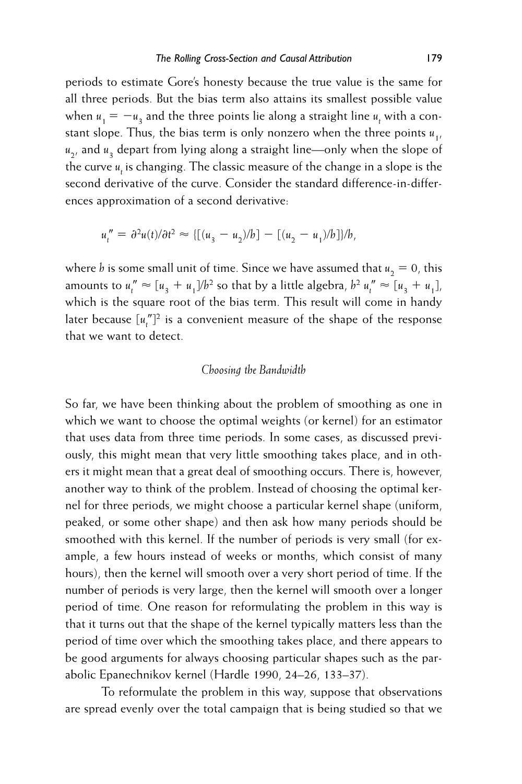periods to estimate Gore's honesty because the true value is the same for all three periods. But the bias term also attains its smallest possible value when  $u_1 = -u_3$  and the three points lie along a straight line  $u_t$  with a constant slope. Thus, the bias term is only nonzero when the three points  $u_{1}$ ,  $u_{2}$ , and  $u_3$  depart from lying along a straight line—only when the slope of the curve  $u_t$  is changing. The classic measure of the change in a slope is the second derivative of the curve. Consider the standard difference-in-differences approximation of a second derivative:

$$
u''_t = \frac{\partial^2 u(t)}{\partial t^2} \approx \left\{ \left[ (u_3 - u_2)/b \right] - \left[ (u_2 - u_1)/b \right] \right\} / b,
$$

where *h* is some small unit of time. Since we have assumed that  $u_2 = 0$ , this amounts to  $u''_t \approx [u_3 + u_1]/h^2$  so that by a little algebra,  $h^2 u''_t \approx [u_3 + u_1]$ , which is the square root of the bias term. This result will come in handy later because  $[u_t^{\prime\prime}]^2$  is a convenient measure of the shape of the response that we want to detect.

## *Choosing the Bandwidth*

So far, we have been thinking about the problem of smoothing as one in which we want to choose the optimal weights (or kernel) for an estimator that uses data from three time periods. In some cases, as discussed previously, this might mean that very little smoothing takes place, and in others it might mean that a great deal of smoothing occurs. There is, however, another way to think of the problem. Instead of choosing the optimal kernel for three periods, we might choose a particular kernel shape (uniform, peaked, or some other shape) and then ask how many periods should be smoothed with this kernel. If the number of periods is very small (for example, a few hours instead of weeks or months, which consist of many hours), then the kernel will smooth over a very short period of time. If the number of periods is very large, then the kernel will smooth over a longer period of time. One reason for reformulating the problem in this way is that it turns out that the shape of the kernel typically matters less than the period of time over which the smoothing takes place, and there appears to be good arguments for always choosing particular shapes such as the parabolic Epanechnikov kernel (Hardle 1990, 24–26, 133–37).

To reformulate the problem in this way, suppose that observations are spread evenly over the total campaign that is being studied so that we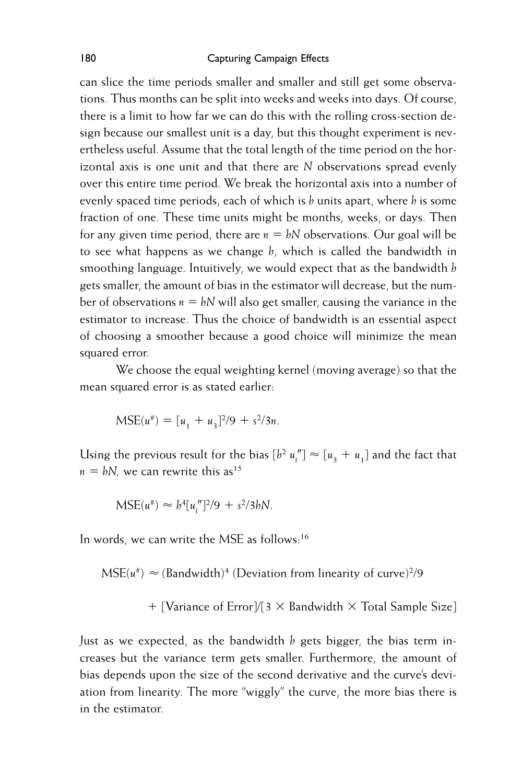### 180 Capturing Campaign Effects

can slice the time periods smaller and smaller and still get some observations. Thus months can be split into weeks and weeks into days. Of course, there is a limit to how far we can do this with the rolling cross-section design because our smallest unit is a day, but this thought experiment is nevertheless useful. Assume that the total length of the time period on the horizontal axis is one unit and that there are *N* observations spread evenly over this entire time period. We break the horizontal axis into a number of evenly spaced time periods, each of which is *h* units apart, where *h* is some fraction of one. These time units might be months, weeks, or days. Then for any given time period, there are  $n = bN$  observations. Our goal will be to see what happens as we change *h*, which is called the bandwidth in smoothing language. Intuitively, we would expect that as the bandwidth *h* gets smaller, the amount of bias in the estimator will decrease, but the number of observations  $n = hN$  will also get smaller, causing the variance in the estimator to increase. Thus the choice of bandwidth is an essential aspect of choosing a smoother because a good choice will minimize the mean squared error.

We choose the equal weighting kernel (moving average) so that the mean squared error is as stated earlier:

$$
MSE(u^*) = [u_1 + u_3]^2/9 + s^2/3n.
$$

Using the previous result for the bias  $[b^2 u''_i] \approx [u_3 + u_1]$  and the fact that  $n = hN$ , we can rewrite this as<sup>15</sup>

$$
MSE(u^*) \approx b^4[u''_t]^2/9 + s^2/3bN.
$$

In words, we can write the MSE as follows:<sup>16</sup>

$$
MSE(u^*) \approx (Bandwidth)^4
$$
 (Deviation from linearity of curve)<sup>2</sup>/9

 $+$  [Variance of Error]/[3  $\times$  Bandwidth  $\times$  Total Sample Size]

Just as we expected, as the bandwidth *h* gets bigger, the bias term increases but the variance term gets smaller. Furthermore, the amount of bias depends upon the size of the second derivative and the curve's deviation from linearity. The more "wiggly" the curve, the more bias there is in the estimator.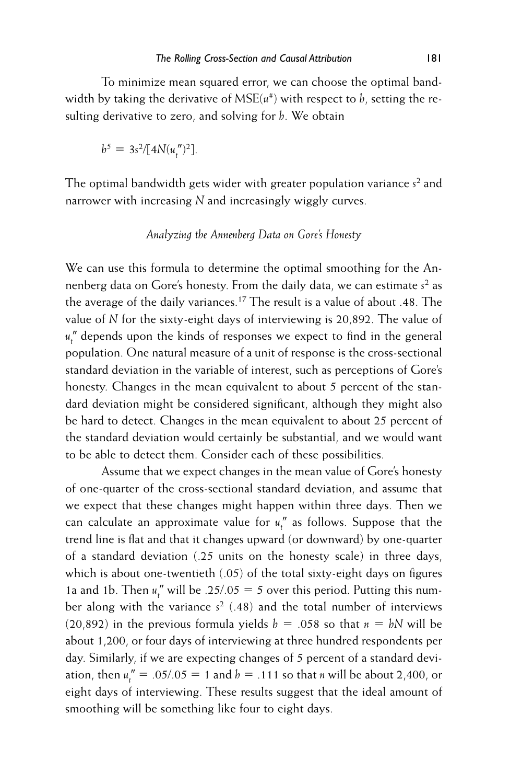To minimize mean squared error, we can choose the optimal bandwidth by taking the derivative of  $MSE(u^{\#})$  with respect to  $h$ , setting the resulting derivative to zero, and solving for *h*. We obtain

$$
b^5 = 3s^2/[4N(u''_t)^2].
$$

The optimal bandwidth gets wider with greater population variance *s* <sup>2</sup> and narrower with increasing *N* and increasingly wiggly curves.

## *Analyzing the Annenberg Data on Gore's Honesty*

We can use this formula to determine the optimal smoothing for the Annenberg data on Gore's honesty. From the daily data, we can estimate *s* <sup>2</sup> as the average of the daily variances.<sup>17</sup> The result is a value of about .48. The value of *N* for the sixty-eight days of interviewing is 20,892. The value of  $u_t^{\prime\prime}$  depends upon the kinds of responses we expect to find in the general population. One natural measure of a unit of response is the cross-sectional standard deviation in the variable of interest, such as perceptions of Gore's honesty. Changes in the mean equivalent to about 5 percent of the standard deviation might be considered significant, although they might also be hard to detect. Changes in the mean equivalent to about 25 percent of the standard deviation would certainly be substantial, and we would want to be able to detect them. Consider each of these possibilities.

Assume that we expect changes in the mean value of Gore's honesty of one-quarter of the cross-sectional standard deviation, and assume that we expect that these changes might happen within three days. Then we can calculate an approximate value for  $u_t''$  as follows. Suppose that the trend line is flat and that it changes upward (or downward) by one-quarter of a standard deviation (.25 units on the honesty scale) in three days, which is about one-twentieth  $(.05)$  of the total sixty-eight days on figures 1a and 1b. Then  $u_t^{\prime\prime}$  will be .25/.05 = 5 over this period. Putting this number along with the variance *s* <sup>2</sup> (.48) and the total number of interviews  $(20,892)$  in the previous formula yields  $h = 0.058$  so that  $n = hN$  will be about 1,200, or four days of interviewing at three hundred respondents per day. Similarly, if we are expecting changes of 5 percent of a standard deviation, then  $u''_t = .05/.05 = 1$  and  $b = .111$  so that *n* will be about 2,400, or eight days of interviewing. These results suggest that the ideal amount of smoothing will be something like four to eight days.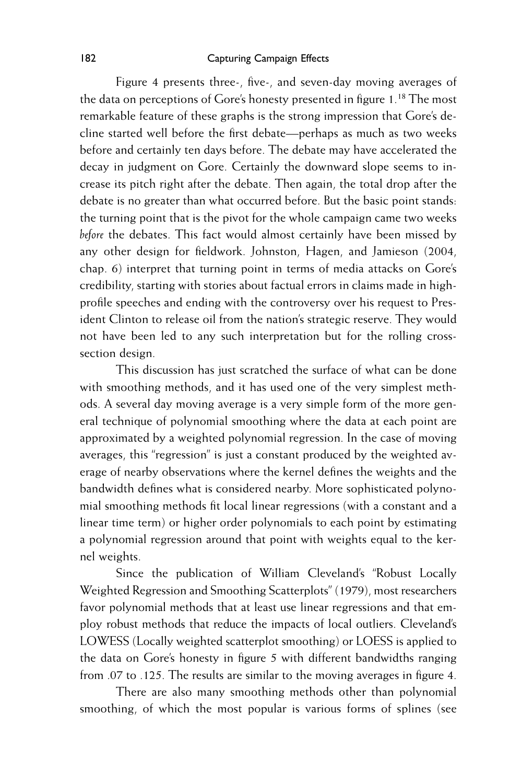#### 182 Capturing Campaign Effects

Figure 4 presents three-, five-, and seven-day moving averages of the data on perceptions of Gore's honesty presented in figure  $1.^{18}$  The most remarkable feature of these graphs is the strong impression that Gore's decline started well before the first debate—perhaps as much as two weeks before and certainly ten days before. The debate may have accelerated the decay in judgment on Gore. Certainly the downward slope seems to increase its pitch right after the debate. Then again, the total drop after the debate is no greater than what occurred before. But the basic point stands: the turning point that is the pivot for the whole campaign came two weeks *before* the debates. This fact would almost certainly have been missed by any other design for fieldwork. Johnston, Hagen, and Jamieson (2004, chap. 6) interpret that turning point in terms of media attacks on Gore's credibility, starting with stories about factual errors in claims made in highprofile speeches and ending with the controversy over his request to President Clinton to release oil from the nation's strategic reserve. They would not have been led to any such interpretation but for the rolling crosssection design.

This discussion has just scratched the surface of what can be done with smoothing methods, and it has used one of the very simplest methods. A several day moving average is a very simple form of the more general technique of polynomial smoothing where the data at each point are approximated by a weighted polynomial regression. In the case of moving averages, this "regression" is just a constant produced by the weighted average of nearby observations where the kernel defines the weights and the bandwidth defines what is considered nearby. More sophisticated polynomial smoothing methods fit local linear regressions (with a constant and a linear time term) or higher order polynomials to each point by estimating a polynomial regression around that point with weights equal to the kernel weights.

Since the publication of William Cleveland's "Robust Locally Weighted Regression and Smoothing Scatterplots" (1979), most researchers favor polynomial methods that at least use linear regressions and that employ robust methods that reduce the impacts of local outliers. Cleveland's LOWESS (Locally weighted scatterplot smoothing) or LOESS is applied to the data on Gore's honesty in figure 5 with different bandwidths ranging from .07 to .125. The results are similar to the moving averages in figure 4.

There are also many smoothing methods other than polynomial smoothing, of which the most popular is various forms of splines (see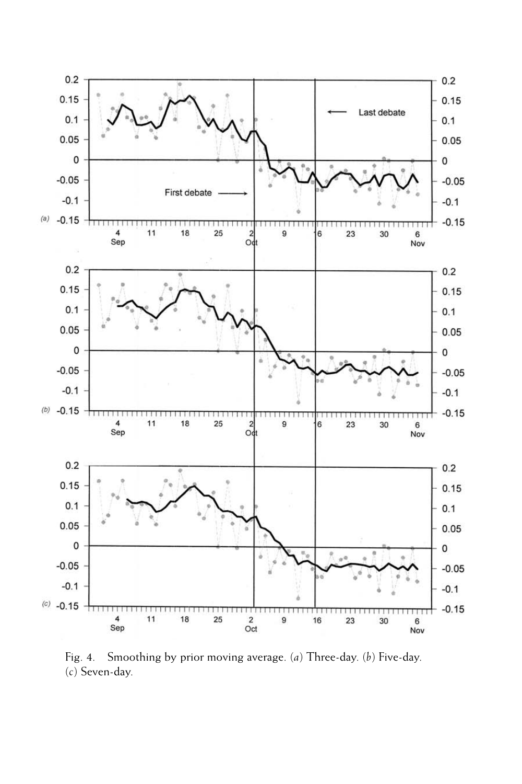![](_page_19_Figure_0.jpeg)

Fig. 4. Smoothing by prior moving average. (*a*) Three-day. (*b*) Five-day. (*c*) Seven-day.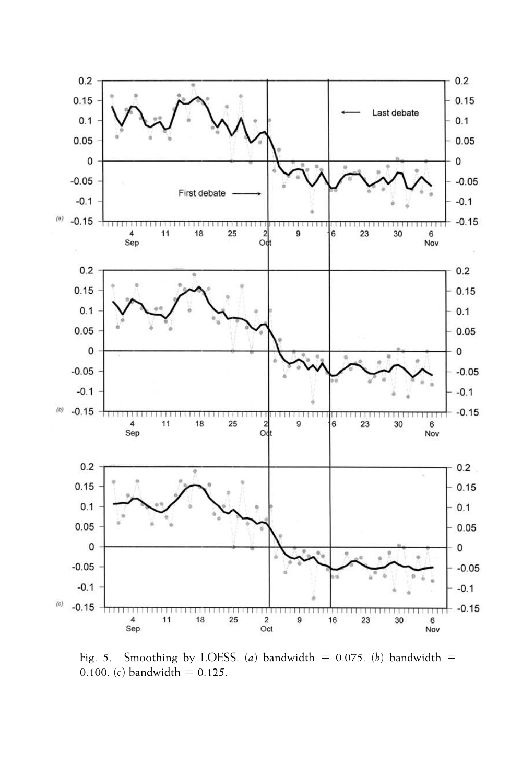![](_page_20_Figure_0.jpeg)

Fig. 5. Smoothing by LOESS. (a) bandwidth  $= 0.075$ . (b) bandwidth  $=$  $0.100.$  (c) bandwidth =  $0.125$ .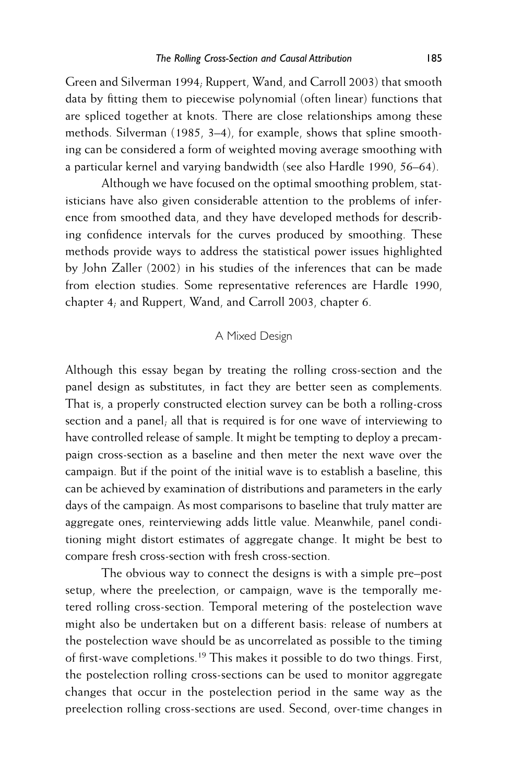Green and Silverman 1994; Ruppert, Wand, and Carroll 2003) that smooth data by fitting them to piecewise polynomial (often linear) functions that are spliced together at knots. There are close relationships among these methods. Silverman (1985, 3–4), for example, shows that spline smoothing can be considered a form of weighted moving average smoothing with a particular kernel and varying bandwidth (see also Hardle 1990, 56–64).

Although we have focused on the optimal smoothing problem, statisticians have also given considerable attention to the problems of inference from smoothed data, and they have developed methods for describing confidence intervals for the curves produced by smoothing. These methods provide ways to address the statistical power issues highlighted by John Zaller (2002) in his studies of the inferences that can be made from election studies. Some representative references are Hardle 1990, chapter 4; and Ruppert, Wand, and Carroll 2003, chapter 6.

## A Mixed Design

Although this essay began by treating the rolling cross-section and the panel design as substitutes, in fact they are better seen as complements. That is, a properly constructed election survey can be both a rolling-cross section and a panel; all that is required is for one wave of interviewing to have controlled release of sample. It might be tempting to deploy a precampaign cross-section as a baseline and then meter the next wave over the campaign. But if the point of the initial wave is to establish a baseline, this can be achieved by examination of distributions and parameters in the early days of the campaign. As most comparisons to baseline that truly matter are aggregate ones, reinterviewing adds little value. Meanwhile, panel conditioning might distort estimates of aggregate change. It might be best to compare fresh cross-section with fresh cross-section.

The obvious way to connect the designs is with a simple pre–post setup, where the preelection, or campaign, wave is the temporally metered rolling cross-section. Temporal metering of the postelection wave might also be undertaken but on a different basis: release of numbers at the postelection wave should be as uncorrelated as possible to the timing of first-wave completions.<sup>19</sup> This makes it possible to do two things. First, the postelection rolling cross-sections can be used to monitor aggregate changes that occur in the postelection period in the same way as the preelection rolling cross-sections are used. Second, over-time changes in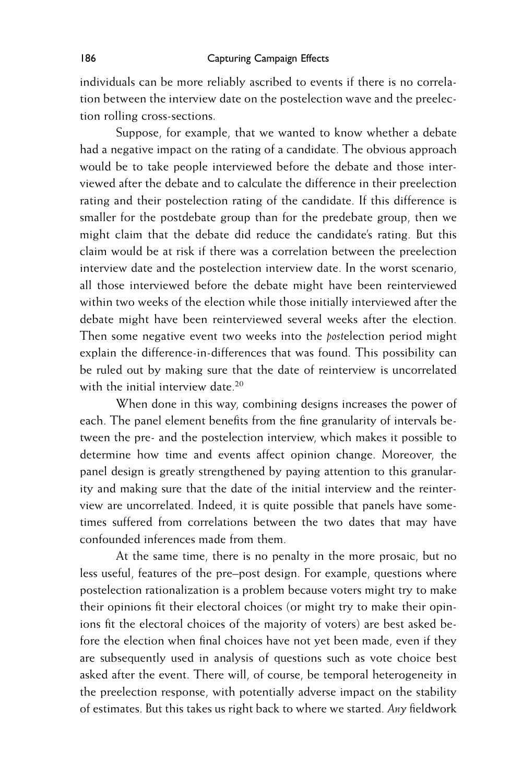individuals can be more reliably ascribed to events if there is no correlation between the interview date on the postelection wave and the preelection rolling cross-sections.

Suppose, for example, that we wanted to know whether a debate had a negative impact on the rating of a candidate. The obvious approach would be to take people interviewed before the debate and those interviewed after the debate and to calculate the difference in their preelection rating and their postelection rating of the candidate. If this difference is smaller for the postdebate group than for the predebate group, then we might claim that the debate did reduce the candidate's rating. But this claim would be at risk if there was a correlation between the preelection interview date and the postelection interview date. In the worst scenario, all those interviewed before the debate might have been reinterviewed within two weeks of the election while those initially interviewed after the debate might have been reinterviewed several weeks after the election. Then some negative event two weeks into the *post*election period might explain the difference-in-differences that was found. This possibility can be ruled out by making sure that the date of reinterview is uncorrelated with the initial interview date.<sup>20</sup>

When done in this way, combining designs increases the power of each. The panel element benefits from the fine granularity of intervals between the pre- and the postelection interview, which makes it possible to determine how time and events affect opinion change. Moreover, the panel design is greatly strengthened by paying attention to this granularity and making sure that the date of the initial interview and the reinterview are uncorrelated. Indeed, it is quite possible that panels have sometimes suffered from correlations between the two dates that may have confounded inferences made from them.

At the same time, there is no penalty in the more prosaic, but no less useful, features of the pre–post design. For example, questions where postelection rationalization is a problem because voters might try to make their opinions fit their electoral choices (or might try to make their opinions fit the electoral choices of the majority of voters) are best asked before the election when final choices have not yet been made, even if they are subsequently used in analysis of questions such as vote choice best asked after the event. There will, of course, be temporal heterogeneity in the preelection response, with potentially adverse impact on the stability of estimates. But this takes us right back to where we started. Any fieldwork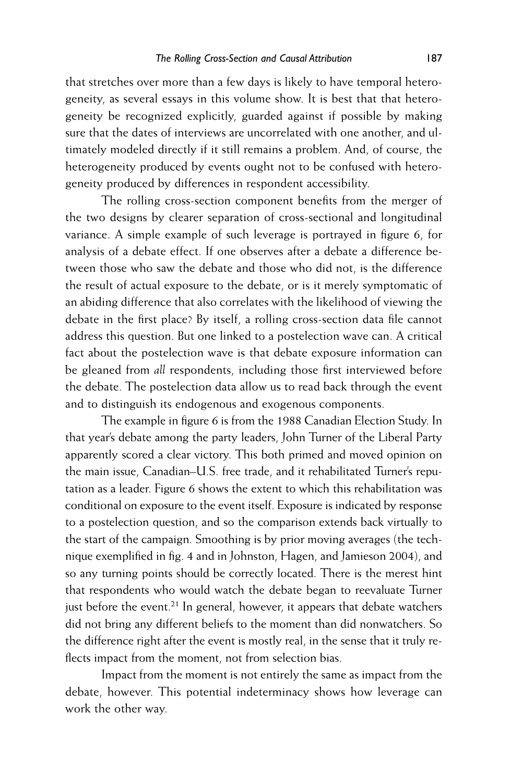that stretches over more than a few days is likely to have temporal heterogeneity, as several essays in this volume show. It is best that that heterogeneity be recognized explicitly, guarded against if possible by making sure that the dates of interviews are uncorrelated with one another, and ultimately modeled directly if it still remains a problem. And, of course, the heterogeneity produced by events ought not to be confused with heterogeneity produced by differences in respondent accessibility.

The rolling cross-section component benefits from the merger of the two designs by clearer separation of cross-sectional and longitudinal variance. A simple example of such leverage is portrayed in figure 6, for analysis of a debate effect. If one observes after a debate a difference between those who saw the debate and those who did not, is the difference the result of actual exposure to the debate, or is it merely symptomatic of an abiding difference that also correlates with the likelihood of viewing the debate in the first place? By itself, a rolling cross-section data file cannot address this question. But one linked to a postelection wave can. A critical fact about the postelection wave is that debate exposure information can be gleaned from *all* respondents, including those first interviewed before the debate. The postelection data allow us to read back through the event and to distinguish its endogenous and exogenous components.

The example in figure 6 is from the 1988 Canadian Election Study. In that year's debate among the party leaders, John Turner of the Liberal Party apparently scored a clear victory. This both primed and moved opinion on the main issue, Canadian–U.S. free trade, and it rehabilitated Turner's reputation as a leader. Figure 6 shows the extent to which this rehabilitation was conditional on exposure to the event itself. Exposure is indicated by response to a postelection question, and so the comparison extends back virtually to the start of the campaign. Smoothing is by prior moving averages (the technique exemplified in fig. 4 and in Johnston, Hagen, and Jamieson 2004), and so any turning points should be correctly located. There is the merest hint that respondents who would watch the debate began to reevaluate Turner just before the event.<sup>21</sup> In general, however, it appears that debate watchers did not bring any different beliefs to the moment than did nonwatchers. So the difference right after the event is mostly real, in the sense that it truly reflects impact from the moment, not from selection bias.

Impact from the moment is not entirely the same as impact from the debate, however. This potential indeterminacy shows how leverage can work the other way.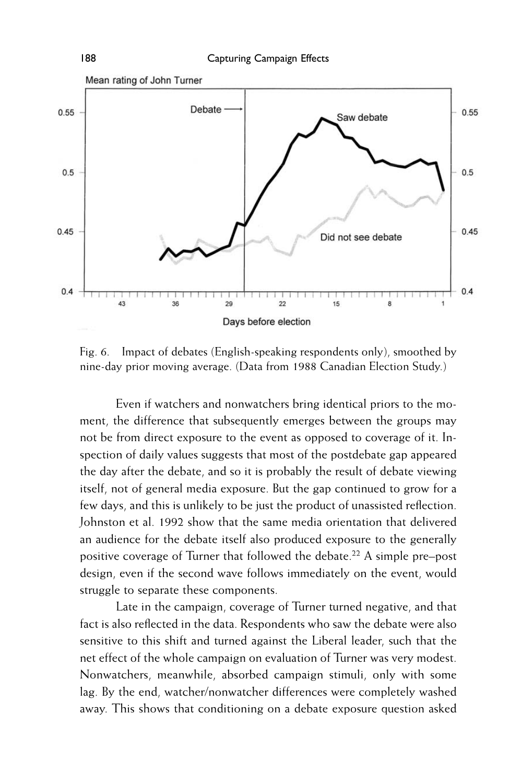![](_page_24_Figure_1.jpeg)

Fig. 6. Impact of debates (English-speaking respondents only), smoothed by nine-day prior moving average. (Data from 1988 Canadian Election Study.)

Even if watchers and nonwatchers bring identical priors to the moment, the difference that subsequently emerges between the groups may not be from direct exposure to the event as opposed to coverage of it. Inspection of daily values suggests that most of the postdebate gap appeared the day after the debate, and so it is probably the result of debate viewing itself, not of general media exposure. But the gap continued to grow for a few days, and this is unlikely to be just the product of unassisted reflection. Johnston et al. 1992 show that the same media orientation that delivered an audience for the debate itself also produced exposure to the generally positive coverage of Turner that followed the debate.<sup>22</sup> A simple pre–post design, even if the second wave follows immediately on the event, would struggle to separate these components.

Late in the campaign, coverage of Turner turned negative, and that fact is also reflected in the data. Respondents who saw the debate were also sensitive to this shift and turned against the Liberal leader, such that the net effect of the whole campaign on evaluation of Turner was very modest. Nonwatchers, meanwhile, absorbed campaign stimuli, only with some lag. By the end, watcher/nonwatcher differences were completely washed away. This shows that conditioning on a debate exposure question asked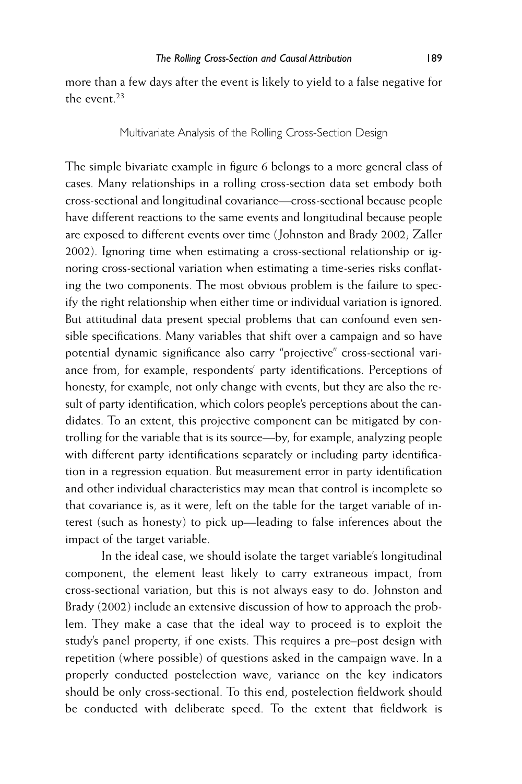more than a few days after the event is likely to yield to a false negative for the event.<sup>23</sup>

Multivariate Analysis of the Rolling Cross-Section Design

The simple bivariate example in figure 6 belongs to a more general class of cases. Many relationships in a rolling cross-section data set embody both cross-sectional and longitudinal covariance—cross-sectional because people have different reactions to the same events and longitudinal because people are exposed to different events over time (Johnston and Brady 2002; Zaller 2002). Ignoring time when estimating a cross-sectional relationship or ignoring cross-sectional variation when estimating a time-series risks conflating the two components. The most obvious problem is the failure to specify the right relationship when either time or individual variation is ignored. But attitudinal data present special problems that can confound even sensible specifications. Many variables that shift over a campaign and so have potential dynamic significance also carry "projective" cross-sectional variance from, for example, respondents' party identifications. Perceptions of honesty, for example, not only change with events, but they are also the result of party identification, which colors people's perceptions about the candidates. To an extent, this projective component can be mitigated by controlling for the variable that is its source—by, for example, analyzing people with different party identifications separately or including party identification in a regression equation. But measurement error in party identification and other individual characteristics may mean that control is incomplete so that covariance is, as it were, left on the table for the target variable of interest (such as honesty) to pick up—leading to false inferences about the impact of the target variable.

In the ideal case, we should isolate the target variable's longitudinal component, the element least likely to carry extraneous impact, from cross-sectional variation, but this is not always easy to do. Johnston and Brady (2002) include an extensive discussion of how to approach the problem. They make a case that the ideal way to proceed is to exploit the study's panel property, if one exists. This requires a pre–post design with repetition (where possible) of questions asked in the campaign wave. In a properly conducted postelection wave, variance on the key indicators should be only cross-sectional. To this end, postelection fieldwork should be conducted with deliberate speed. To the extent that fieldwork is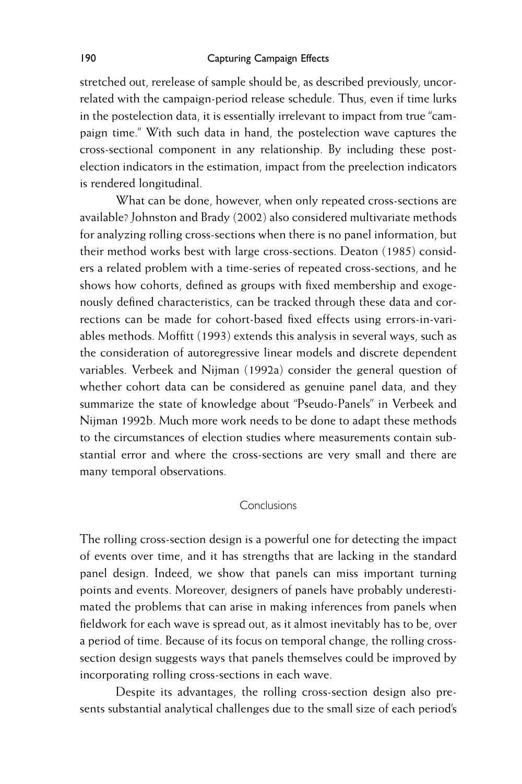### 190 Capturing Campaign Effects

stretched out, rerelease of sample should be, as described previously, uncorrelated with the campaign-period release schedule. Thus, even if time lurks in the postelection data, it is essentially irrelevant to impact from true "campaign time." With such data in hand, the postelection wave captures the cross-sectional component in any relationship. By including these postelection indicators in the estimation, impact from the preelection indicators is rendered longitudinal.

What can be done, however, when only repeated cross-sections are available? Johnston and Brady (2002) also considered multivariate methods for analyzing rolling cross-sections when there is no panel information, but their method works best with large cross-sections. Deaton (1985) considers a related problem with a time-series of repeated cross-sections, and he shows how cohorts, defined as groups with fixed membership and exogenously defined characteristics, can be tracked through these data and corrections can be made for cohort-based fixed effects using errors-in-variables methods. Moffitt (1993) extends this analysis in several ways, such as the consideration of autoregressive linear models and discrete dependent variables. Verbeek and Nijman (1992a) consider the general question of whether cohort data can be considered as genuine panel data, and they summarize the state of knowledge about "Pseudo-Panels" in Verbeek and Nijman 1992b. Much more work needs to be done to adapt these methods to the circumstances of election studies where measurements contain substantial error and where the cross-sections are very small and there are many temporal observations.

## Conclusions

The rolling cross-section design is a powerful one for detecting the impact of events over time, and it has strengths that are lacking in the standard panel design. Indeed, we show that panels can miss important turning points and events. Moreover, designers of panels have probably underestimated the problems that can arise in making inferences from panels when fieldwork for each wave is spread out, as it almost inevitably has to be, over a period of time. Because of its focus on temporal change, the rolling crosssection design suggests ways that panels themselves could be improved by incorporating rolling cross-sections in each wave.

Despite its advantages, the rolling cross-section design also presents substantial analytical challenges due to the small size of each period's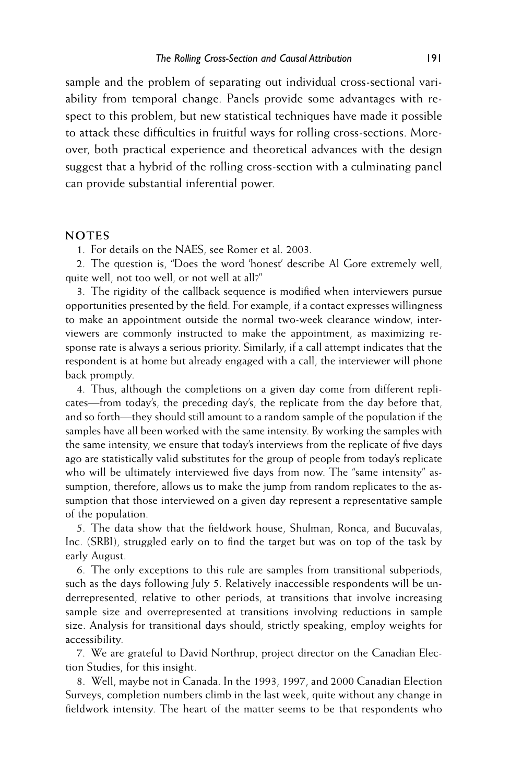sample and the problem of separating out individual cross-sectional variability from temporal change. Panels provide some advantages with respect to this problem, but new statistical techniques have made it possible to attack these difficulties in fruitful ways for rolling cross-sections. Moreover, both practical experience and theoretical advances with the design suggest that a hybrid of the rolling cross-section with a culminating panel can provide substantial inferential power.

## **NOTES**

1. For details on the NAES, see Romer et al. 2003.

2. The question is, "Does the word 'honest' describe Al Gore extremely well, quite well, not too well, or not well at all?"

3. The rigidity of the callback sequence is modified when interviewers pursue opportunities presented by the Aeld. For example, if a contact expresses willingness to make an appointment outside the normal two-week clearance window, interviewers are commonly instructed to make the appointment, as maximizing response rate is always a serious priority. Similarly, if a call attempt indicates that the respondent is at home but already engaged with a call, the interviewer will phone back promptly.

4. Thus, although the completions on a given day come from different replicates—from today's, the preceding day's, the replicate from the day before that, and so forth—they should still amount to a random sample of the population if the samples have all been worked with the same intensity. By working the samples with the same intensity, we ensure that today's interviews from the replicate of five days ago are statistically valid substitutes for the group of people from today's replicate who will be ultimately interviewed five days from now. The "same intensity" assumption, therefore, allows us to make the jump from random replicates to the assumption that those interviewed on a given day represent a representative sample of the population.

5. The data show that the fieldwork house, Shulman, Ronca, and Bucuvalas, Inc. (SRBI), struggled early on to find the target but was on top of the task by early August.

6. The only exceptions to this rule are samples from transitional subperiods, such as the days following July 5. Relatively inaccessible respondents will be underrepresented, relative to other periods, at transitions that involve increasing sample size and overrepresented at transitions involving reductions in sample size. Analysis for transitional days should, strictly speaking, employ weights for accessibility.

7. We are grateful to David Northrup, project director on the Canadian Election Studies, for this insight.

8. Well, maybe not in Canada. In the 1993, 1997, and 2000 Canadian Election Surveys, completion numbers climb in the last week, quite without any change in fieldwork intensity. The heart of the matter seems to be that respondents who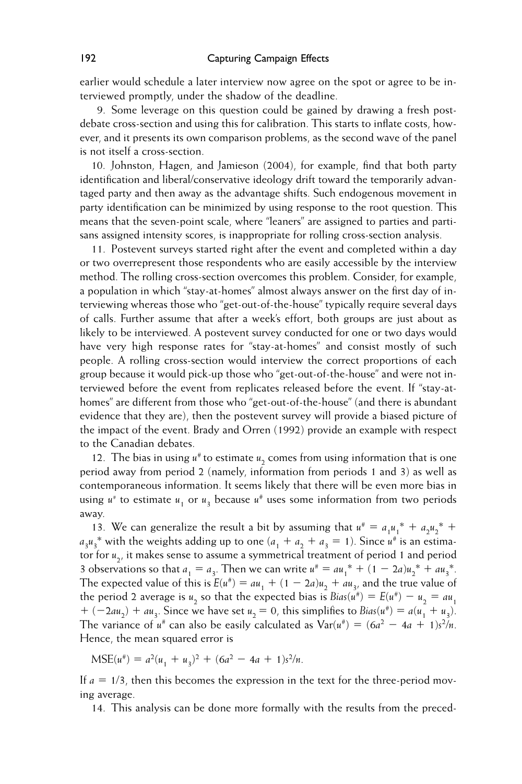earlier would schedule a later interview now agree on the spot or agree to be interviewed promptly, under the shadow of the deadline.

9. Some leverage on this question could be gained by drawing a fresh postdebate cross-section and using this for calibration. This starts to inflate costs, however, and it presents its own comparison problems, as the second wave of the panel is not itself a cross-section.

10. Johnston, Hagen, and Jamieson (2004), for example, find that both party identification and liberal/conservative ideology drift toward the temporarily advantaged party and then away as the advantage shifts. Such endogenous movement in party identification can be minimized by using response to the root question. This means that the seven-point scale, where "leaners" are assigned to parties and partisans assigned intensity scores, is inappropriate for rolling cross-section analysis.

11. Postevent surveys started right after the event and completed within a day or two overrepresent those respondents who are easily accessible by the interview method. The rolling cross-section overcomes this problem. Consider, for example, a population in which "stay-at-homes" almost always answer on the first day of interviewing whereas those who "get-out-of-the-house" typically require several days of calls. Further assume that after a week's effort, both groups are just about as likely to be interviewed. A postevent survey conducted for one or two days would have very high response rates for "stay-at-homes" and consist mostly of such people. A rolling cross-section would interview the correct proportions of each group because it would pick-up those who "get-out-of-the-house" and were not interviewed before the event from replicates released before the event. If "stay-athomes" are different from those who "get-out-of-the-house" (and there is abundant evidence that they are), then the postevent survey will provide a biased picture of the impact of the event. Brady and Orren (1992) provide an example with respect to the Canadian debates.

12. The bias in using  $u^{\#}$  to estimate  $u_2$  comes from using information that is one period away from period 2 (namely, information from periods 1 and 3) as well as contemporaneous information. It seems likely that there will be even more bias in using  $u^*$  to estimate  $u_1$  or  $u_3$  because  $u^*$  uses some information from two periods away.

13. We can generalize the result a bit by assuming that  $u^* = a_1u_1^* + a_2u_2^*$  $a_3u_3^*$  with the weights adding up to one  $(a_1 + a_2 + a_3 = 1)$ . Since  $u^*$  is an estimator for  $u_{2}$ , it makes sense to assume a symmetrical treatment of period 1 and period 3 observations so that  $a_1 = a_3$ . Then we can write  $u^* = a u_1^* + (1 - 2a) u_2^* + a u_3^*$ . The expected value of this is  $E(u^*) = au_1 + (1 - 2a)u_2 + au_3$ , and the true value of the period 2 average is  $u_2$  so that the expected bias is  $Bias(u^*) = E(u^*) - u_2 = au_1$  $+$   $(-2au_2) + au_3$ . Since we have set  $u_2 = 0$ , this simplifies to *Bias* $(u^* ) = a(u_1 + u_3)$ . The variance of  $u^{\#}$  can also be easily calculated as  $\text{Var}(u^{\#}) = (6a^2 - 4a + 1)s^2/n$ . Hence, the mean squared error is

$$
MSE(u^*) = a^2(u_1 + u_3)^2 + (6a^2 - 4a + 1)s^2/n.
$$

If  $a = 1/3$ , then this becomes the expression in the text for the three-period moving average.

14. This analysis can be done more formally with the results from the preced-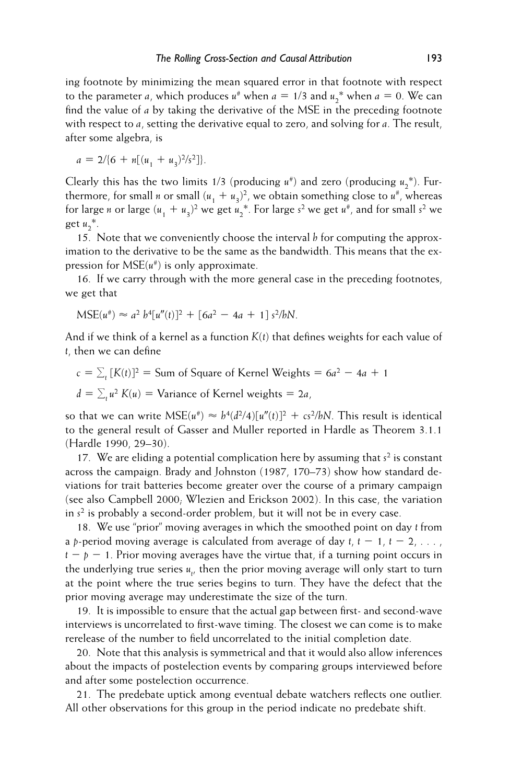ing footnote by minimizing the mean squared error in that footnote with respect to the parameter *a*, which produces  $u^*$  when  $a = 1/3$  and  $u_2^*$  when  $a = 0$ . We can find the value of *a* by taking the derivative of the MSE in the preceding footnote with respect to *a*, setting the derivative equal to zero, and solving for *a*. The result, after some algebra, is

$$
a = 2/[6 + n[(u_1 + u_3)^2/s^2]].
$$

Clearly this has the two limits  $1/3$  (producing  $u^*$ ) and zero (producing  $u^*$ ). Furthermore, for small *n* or small  $(u_1 + u_2)^2$ , we obtain something close to  $u^*$ , whereas for large *n* or large  $(u_1 + u_3)^2$  we get  $u_2^*$ . For large  $s^2$  we get  $u^*$ , and for small  $s^2$  we get  $u_2^*$ .

15. Note that we conveniently choose the interval *h* for computing the approximation to the derivative to be the same as the bandwidth. This means that the expression for  $MSE(u^{\#})$  is only approximate.

16. If we carry through with the more general case in the preceding footnotes, we get that

$$
MSE(u^*) \approx a^2 b^4 [u''(t)]^2 + [6a^2 - 4a + 1] s^2/bN.
$$

And if we think of a kernel as a function  $K(t)$  that defines weights for each value of *t*, then we can define

$$
c = \sum_{t} [K(t)]^2 = \text{Sum of Square of Kernel Weights} = 6a^2 - 4a + 1
$$
  

$$
d = \sum_{t} a^2 K(u) = \text{Variance of Kernel weights} = 2a,
$$

so that we can write  $MSE(u^*) \approx h^4(d^2/4)[u''(t)]^2 + cs^2/hN$ . This result is identical to the general result of Gasser and Muller reported in Hardle as Theorem 3.1.1 (Hardle 1990, 29–30).

17. We are eliding a potential complication here by assuming that *s*<sup>2</sup> is constant across the campaign. Brady and Johnston (1987, 170–73) show how standard deviations for trait batteries become greater over the course of a primary campaign (see also Campbell 2000; Wlezien and Erickson 2002). In this case, the variation in *s* <sup>2</sup> is probably a second-order problem, but it will not be in every case.

18. We use "prior" moving averages in which the smoothed point on day *t* from a *p*-period moving average is calculated from average of day  $t$ ,  $t = 1$ ,  $t = 2$ , ...  $t - p - 1$ . Prior moving averages have the virtue that, if a turning point occurs in the underlying true series  $u_{\mu}$  then the prior moving average will only start to turn at the point where the true series begins to turn. They have the defect that the prior moving average may underestimate the size of the turn.

19. It is impossible to ensure that the actual gap between first- and second-wave interviews is uncorrelated to first-wave timing. The closest we can come is to make rerelease of the number to field uncorrelated to the initial completion date.

20. Note that this analysis is symmetrical and that it would also allow inferences about the impacts of postelection events by comparing groups interviewed before and after some postelection occurrence.

21. The predebate uptick among eventual debate watchers reflects one outlier. All other observations for this group in the period indicate no predebate shift.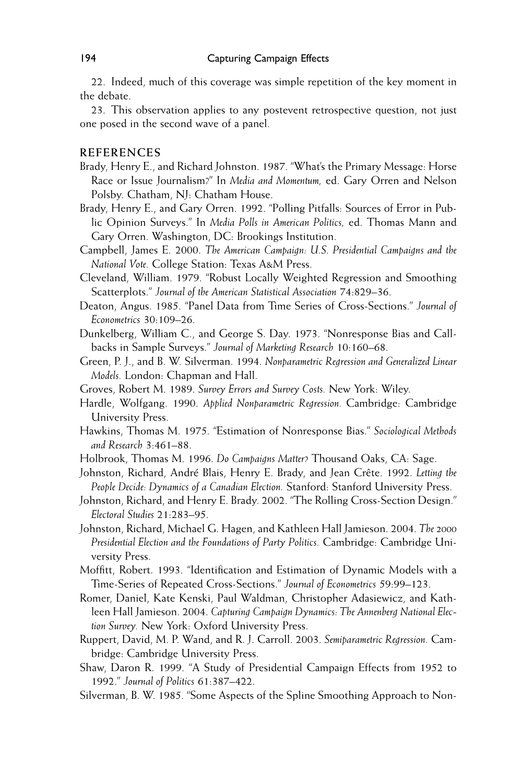22. Indeed, much of this coverage was simple repetition of the key moment in the debate.

23. This observation applies to any postevent retrospective question, not just one posed in the second wave of a panel.

## **REFERENCES**

- Brady, Henry E., and Richard Johnston. 1987. "What's the Primary Message: Horse Race or Issue Journalism?" In *Media and Momentum,* ed. Gary Orren and Nelson Polsby. Chatham, NJ: Chatham House.
- Brady, Henry E., and Gary Orren. 1992. "Polling Pitfalls: Sources of Error in Public Opinion Surveys." In *Media Polls in American Politics,* ed. Thomas Mann and Gary Orren. Washington, DC: Brookings Institution.
- Campbell, James E. 2000. *The American Campaign: U.S. Presidential Campaigns and the National Vote.* College Station: Texas A&M Press.

Cleveland, William. 1979. "Robust Locally Weighted Regression and Smoothing Scatterplots." *Journal of the American Statistical Association* 74:829–36.

- Deaton, Angus. 1985. "Panel Data from Time Series of Cross-Sections." *Journal of Econometrics* 30:109–26.
- Dunkelberg, William C., and George S. Day. 1973. "Nonresponse Bias and Callbacks in Sample Surveys." *Journal of Marketing Research* 10:160–68.

Green, P. J., and B. W. Silverman. 1994. *Nonparametric Regression and Generalized Linear Models.* London: Chapman and Hall.

- Groves, Robert M. 1989. *Survey Errors and Survey Costs.* New York: Wiley.
- Hardle, Wolfgang. 1990. *Applied Nonparametric Regression.* Cambridge: Cambridge University Press.
- Hawkins, Thomas M. 1975. "Estimation of Nonresponse Bias." *Sociological Methods and Research* 3:461–88.
- Holbrook, Thomas M. 1996. *Do Campaigns Matter?* Thousand Oaks, CA: Sage.
- Johnston, Richard, André Blais, Henry E. Brady, and Jean Crête. 1992. *Letting the People Decide: Dynamics of a Canadian Election.* Stanford: Stanford University Press.
- Johnston, Richard, and Henry E. Brady. 2002. "The Rolling Cross-Section Design." *Electoral Studies* 21:283–95.
- Johnston, Richard, Michael G. Hagen, and Kathleen Hall Jamieson. 2004. *The 2000 Presidential Election and the Foundations of Party Politics.* Cambridge: Cambridge University Press.
- Moffitt, Robert. 1993. "Identification and Estimation of Dynamic Models with a Time-Series of Repeated Cross-Sections." *Journal of Econometrics* 59:99–123.
- Romer, Daniel, Kate Kenski, Paul Waldman, Christopher Adasiewicz, and Kathleen Hall Jamieson. 2004. *Capturing Campaign Dynamics: The Annenberg National Election Survey.* New York: Oxford University Press.
- Ruppert, David, M. P. Wand, and R. J. Carroll. 2003. *Semiparametric Regression.* Cambridge: Cambridge University Press.
- Shaw, Daron R. 1999. "A Study of Presidential Campaign Effects from 1952 to 1992." *Journal of Politics* 61:387–422.
- Silverman, B. W. 1985. "Some Aspects of the Spline Smoothing Approach to Non-